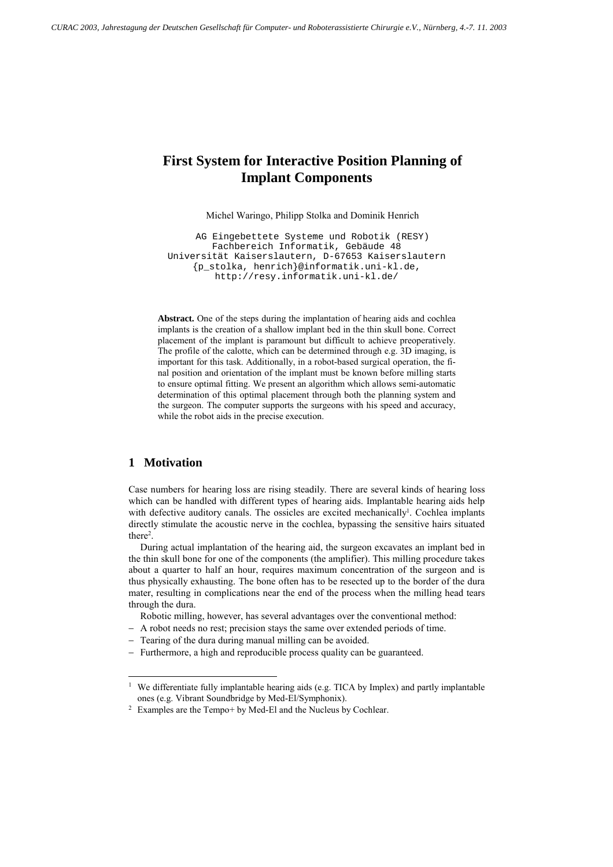# **First System for Interactive Position Planning of Implant Components**

Michel Waringo, Philipp Stolka and Dominik Henrich

AG Eingebettete Systeme und Robotik (RESY) Fachbereich Informatik, Gebäude 48 Universität Kaiserslautern, D-67653 Kaiserslautern {p\_stolka, henrich}@informatik.uni-kl.de, http://resy.informatik.uni-kl.de/

**Abstract.** One of the steps during the implantation of hearing aids and cochlea implants is the creation of a shallow implant bed in the thin skull bone. Correct placement of the implant is paramount but difficult to achieve preoperatively. The profile of the calotte, which can be determined through e.g. 3D imaging, is important for this task. Additionally, in a robot-based surgical operation, the final position and orientation of the implant must be known before milling starts to ensure optimal fitting. We present an algorithm which allows semi-automatic determination of this optimal placement through both the planning system and the surgeon. The computer supports the surgeons with his speed and accuracy, while the robot aids in the precise execution.

## **1 Motivation**

l

Case numbers for hearing loss are rising steadily. There are several kinds of hearing loss which can be handled with different types of hearing aids. Implantable hearing aids help with defective auditory canals. The ossicles are excited mechanically<sup>1</sup>. Cochlea implants directly stimulate the acoustic nerve in the cochlea, bypassing the sensitive hairs situated there<sup>2</sup>.

During actual implantation of the hearing aid, the surgeon excavates an implant bed in the thin skull bone for one of the components (the amplifier). This milling procedure takes about a quarter to half an hour, requires maximum concentration of the surgeon and is thus physically exhausting. The bone often has to be resected up to the border of the dura mater, resulting in complications near the end of the process when the milling head tears through the dura.

Robotic milling, however, has several advantages over the conventional method:

- A robot needs no rest; precision stays the same over extended periods of time.
- Tearing of the dura during manual milling can be avoided.
- -Furthermore, a high and reproducible process quality can be guaranteed.

<sup>&</sup>lt;sup>1</sup> We differentiate fully implantable hearing aids (e.g. TICA by Implex) and partly implantable ones (e.g. Vibrant Soundbridge by Med-El/Symphonix). 2 Examples are the Tempo+ by Med-El and the Nucleus by Cochlear.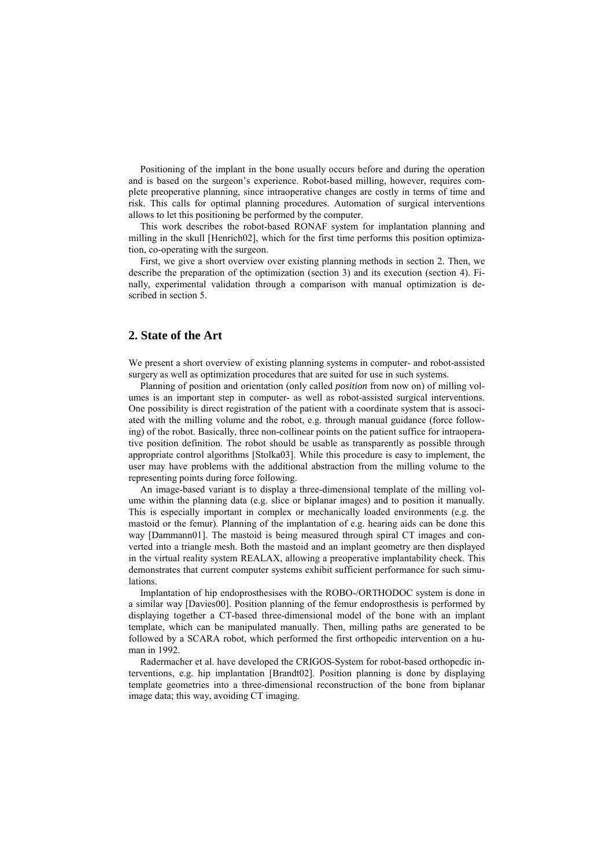Positioning of the implant in the bone usually occurs before and during the operation and is based on the surgeon's experience. Robot-based milling, however, requires complete preoperative planning, since intraoperative changes are costly in terms of time and risk. This calls for optimal planning procedures. Automation of surgical interventions allows to let this positioning be performed by the computer.

This work describes the robot-based RONAF system for implantation planning and milling in the skull [Henrich02], which for the first time performs this position optimization, co-operating with the surgeon.

First, we give a short overview over existing planning methods in section 2. Then, we describe the preparation of the optimization (section 3) and its execution (section 4). Finally, experimental validation through a comparison with manual optimization is described in section 5.

# **2. State of the Art**

We present a short overview of existing planning systems in computer- and robot-assisted surgery as well as optimization procedures that are suited for use in such systems.

Planning of position and orientation (only called *position* from now on) of milling volumes is an important step in computer- as well as robot-assisted surgical interventions. One possibility is direct registration of the patient with a coordinate system that is associated with the milling volume and the robot, e.g. through manual guidance (force following) of the robot. Basically, three non-collinear points on the patient suffice for intraoperative position definition. The robot should be usable as transparently as possible through appropriate control algorithms [Stolka03]. While this procedure is easy to implement, the user may have problems with the additional abstraction from the milling volume to the representing points during force following.

An image-based variant is to display a three-dimensional template of the milling volume within the planning data (e.g. slice or biplanar images) and to position it manually. This is especially important in complex or mechanically loaded environments (e.g. the mastoid or the femur). Planning of the implantation of e.g. hearing aids can be done this way [Dammann01]. The mastoid is being measured through spiral CT images and converted into a triangle mesh. Both the mastoid and an implant geometry are then displayed in the virtual reality system REALAX, allowing a preoperative implantability check. This demonstrates that current computer systems exhibit sufficient performance for such simulations.

Implantation of hip endoprosthesises with the ROBO-/ORTHODOC system is done in a similar way [Davies00]. Position planning of the femur endoprosthesis is performed by displaying together a CT-based three-dimensional model of the bone with an implant template, which can be manipulated manually. Then, milling paths are generated to be followed by a SCARA robot, which performed the first orthopedic intervention on a human in 1992.

Radermacher et al. have developed the CRIGOS-System for robot-based orthopedic interventions, e.g. hip implantation [Brandt02]. Position planning is done by displaying template geometries into a three-dimensional reconstruction of the bone from biplanar image data; this way, avoiding CT imaging.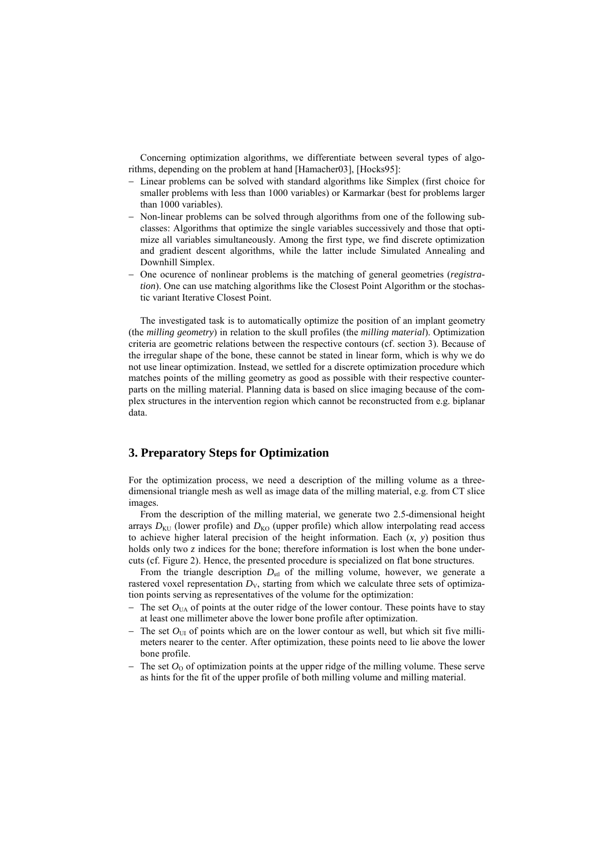Concerning optimization algorithms, we differentiate between several types of algorithms, depending on the problem at hand [Hamacher03], [Hocks95]:

- Linear problems can be solved with standard algorithms like Simplex (first choice for smaller problems with less than 1000 variables) or Karmarkar (best for problems larger than 1000 variables).
- - Non-linear problems can be solved through algorithms from one of the following subclasses: Algorithms that optimize the single variables successively and those that optimize all variables simultaneously. Among the first type, we find discrete optimization and gradient descent algorithms, while the latter include Simulated Annealing and Downhill Simplex.
- - One ocurence of nonlinear problems is the matching of general geometries (*registration*). One can use matching algorithms like the Closest Point Algorithm or the stochastic variant Iterative Closest Point.

The investigated task is to automatically optimize the position of an implant geometry (the *milling geometry*) in relation to the skull profiles (the *milling material*). Optimization criteria are geometric relations between the respective contours (cf. section 3). Because of the irregular shape of the bone, these cannot be stated in linear form, which is why we do not use linear optimization. Instead, we settled for a discrete optimization procedure which matches points of the milling geometry as good as possible with their respective counterparts on the milling material. Planning data is based on slice imaging because of the complex structures in the intervention region which cannot be reconstructed from e.g. biplanar data.

# **3. Preparatory Steps for Optimization**

For the optimization process, we need a description of the milling volume as a threedimensional triangle mesh as well as image data of the milling material, e.g. from CT slice images.

From the description of the milling material, we generate two 2.5-dimensional height arrays  $D_{\text{KU}}$  (lower profile) and  $D_{\text{KO}}$  (upper profile) which allow interpolating read access to achieve higher lateral precision of the height information. Each (*x*, *y*) position thus holds only two *z* indices for the bone; therefore information is lost when the bone undercuts (cf. Figure 2). Hence, the presented procedure is specialized on flat bone structures.

From the triangle description  $D_{\text{st}}$  of the milling volume, however, we generate a rastered voxel representation  $D<sub>V</sub>$ , starting from which we calculate three sets of optimization points serving as representatives of the volume for the optimization:

- $-$  The set  $O<sub>UA</sub>$  of points at the outer ridge of the lower contour. These points have to stay at least one millimeter above the lower bone profile after optimization.
- $-$  The set  $O<sub>UI</sub>$  of points which are on the lower contour as well, but which sit five millimeters nearer to the center. After optimization, these points need to lie above the lower bone profile.
- $-$  The set  $O_0$  of optimization points at the upper ridge of the milling volume. These serve as hints for the fit of the upper profile of both milling volume and milling material.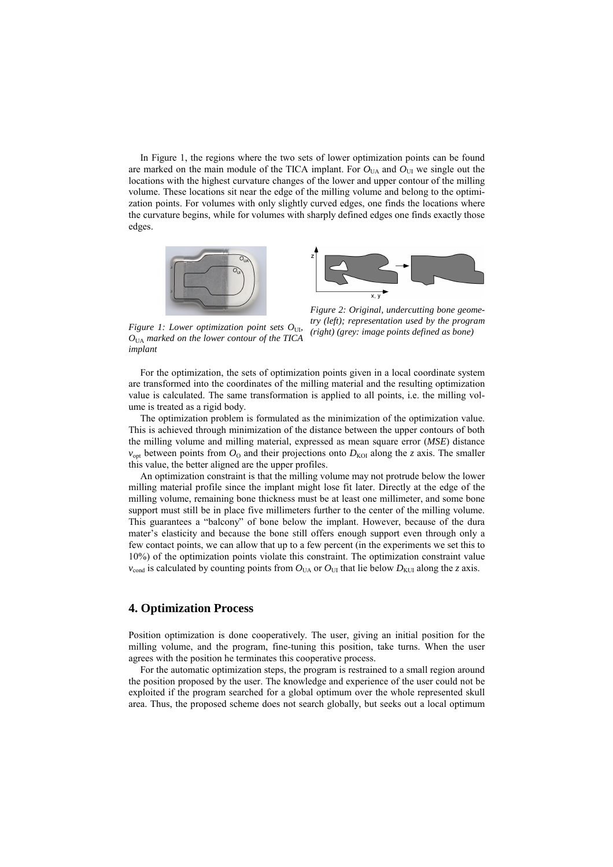In Figure 1, the regions where the two sets of lower optimization points can be found are marked on the main module of the TICA implant. For  $O<sub>UA</sub>$  and  $O<sub>UI</sub>$  we single out the locations with the highest curvature changes of the lower and upper contour of the milling volume. These locations sit near the edge of the milling volume and belong to the optimization points. For volumes with only slightly curved edges, one finds the locations where the curvature begins, while for volumes with sharply defined edges one finds exactly those edges.





*Figure 1: Lower optimization point sets O*<sub>UI</sub>, *O*UA *marked on the lower contour of the TICA implant* 

*Figure 2: Original, undercutting bone geometry (left); representation used by the program (right) (grey: image points defined as bone)* 

For the optimization, the sets of optimization points given in a local coordinate system are transformed into the coordinates of the milling material and the resulting optimization value is calculated. The same transformation is applied to all points, i.e. the milling volume is treated as a rigid body.

The optimization problem is formulated as the minimization of the optimization value. This is achieved through minimization of the distance between the upper contours of both the milling volume and milling material, expressed as mean square error (*MSE*) distance  $v_{\text{opt}}$  between points from  $O_{\text{O}}$  and their projections onto  $D_{\text{KO}}$  along the *z* axis. The smaller this value, the better aligned are the upper profiles.

An optimization constraint is that the milling volume may not protrude below the lower milling material profile since the implant might lose fit later. Directly at the edge of the milling volume, remaining bone thickness must be at least one millimeter, and some bone support must still be in place five millimeters further to the center of the milling volume. This guarantees a "balcony" of bone below the implant. However, because of the dura mater's elasticity and because the bone still offers enough support even through only a few contact points, we can allow that up to a few percent (in the experiments we set this to 10%) of the optimization points violate this constraint. The optimization constraint value  $v_{\text{cond}}$  is calculated by counting points from  $O_{\text{UA}}$  or  $O_{\text{UI}}$  that lie below  $D_{\text{KUI}}$  along the *z* axis.

### **4. Optimization Process**

Position optimization is done cooperatively. The user, giving an initial position for the milling volume, and the program, fine-tuning this position, take turns. When the user agrees with the position he terminates this cooperative process.

For the automatic optimization steps, the program is restrained to a small region around the position proposed by the user. The knowledge and experience of the user could not be exploited if the program searched for a global optimum over the whole represented skull area. Thus, the proposed scheme does not search globally, but seeks out a local optimum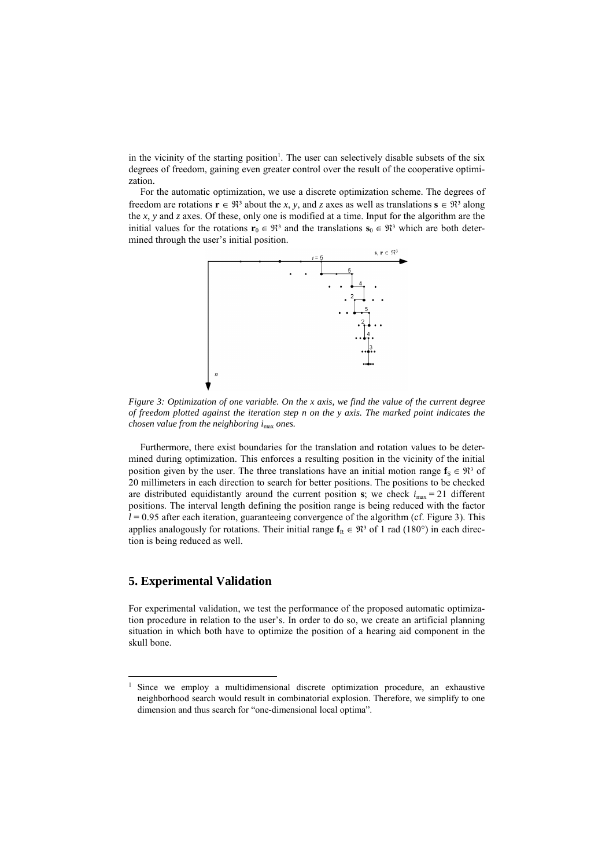in the vicinity of the starting position<sup>1</sup>. The user can selectively disable subsets of the six degrees of freedom, gaining even greater control over the result of the cooperative optimization.

For the automatic optimization, we use a discrete optimization scheme. The degrees of freedom are rotations  $\mathbf{r} \in \mathbb{R}^3$  about the *x*, *y*, and *z* axes as well as translations  $\mathbf{s} \in \mathbb{R}^3$  along the *x*, *y* and *z* axes. Of these, only one is modified at a time. Input for the algorithm are the initial values for the rotations  $\mathbf{r}_0 \in \mathbb{R}^3$  and the translations  $\mathbf{s}_0 \in \mathbb{R}^3$  which are both determined through the user's initial position.



*Figure 3: Optimization of one variable. On the x axis, we find the value of the current degree of freedom plotted against the iteration step n on the y axis. The marked point indicates the chosen value from the neighboring i*max *ones.* 

Furthermore, there exist boundaries for the translation and rotation values to be determined during optimization. This enforces a resulting position in the vicinity of the initial position given by the user. The three translations have an initial motion range  $\mathbf{f}_S \in \mathbb{R}^3$  of 20 millimeters in each direction to search for better positions. The positions to be checked are distributed equidistantly around the current position  $s$ ; we check  $i_{\text{max}} = 21$  different positions. The interval length defining the position range is being reduced with the factor  $l = 0.95$  after each iteration, guaranteeing convergence of the algorithm (cf. Figure 3). This applies analogously for rotations. Their initial range  $f_R \in \mathbb{R}^3$  of 1 rad (180°) in each direction is being reduced as well.

# **5. Experimental Validation**

l

For experimental validation, we test the performance of the proposed automatic optimization procedure in relation to the user's. In order to do so, we create an artificial planning situation in which both have to optimize the position of a hearing aid component in the skull bone.

<sup>&</sup>lt;sup>1</sup> Since we employ a multidimensional discrete optimization procedure, an exhaustive neighborhood search would result in combinatorial explosion. Therefore, we simplify to one dimension and thus search for "one-dimensional local optima".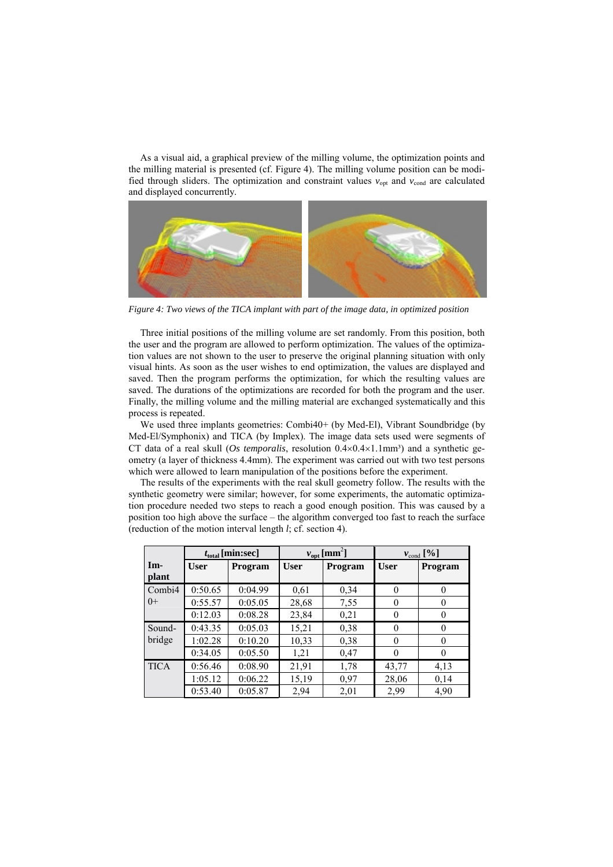As a visual aid, a graphical preview of the milling volume, the optimization points and the milling material is presented (cf. Figure 4). The milling volume position can be modified through sliders. The optimization and constraint values  $v_{\text{opt}}$  and  $v_{\text{cond}}$  are calculated and displayed concurrently.



*Figure 4: Two views of the TICA implant with part of the image data, in optimized position* 

Three initial positions of the milling volume are set randomly. From this position, both the user and the program are allowed to perform optimization. The values of the optimization values are not shown to the user to preserve the original planning situation with only visual hints. As soon as the user wishes to end optimization, the values are displayed and saved. Then the program performs the optimization, for which the resulting values are saved. The durations of the optimizations are recorded for both the program and the user. Finally, the milling volume and the milling material are exchanged systematically and this process is repeated.

We used three implants geometries: Combi40+ (by Med-El), Vibrant Soundbridge (by Med-El/Symphonix) and TICA (by Implex). The image data sets used were segments of CT data of a real skull (*Os temporalis*, resolution  $0.4 \times 0.4 \times 1.1$  mm<sup>3</sup>) and a synthetic geometry (a layer of thickness 4.4mm). The experiment was carried out with two test persons which were allowed to learn manipulation of the positions before the experiment.

The results of the experiments with the real skull geometry follow. The results with the synthetic geometry were similar; however, for some experiments, the automatic optimization procedure needed two steps to reach a good enough position. This was caused by a position too high above the surface – the algorithm converged too fast to reach the surface (reduction of the motion interval length *l*; cf. section 4).

|              | $t_{\text{total}}$ [min:sec] |         | $v_{opt}$ [mm <sup>2</sup> ] |         | $v_{\text{cond}}$ [%] |          |
|--------------|------------------------------|---------|------------------------------|---------|-----------------------|----------|
| Im-<br>plant | <b>User</b>                  | Program | <b>User</b>                  | Program | <b>User</b>           | Program  |
| Combi4       | 0:50.65                      | 0:04.99 | 0,61                         | 0.34    | $\theta$              |          |
| $()+$        | 0:55.57                      | 0:05.05 | 28,68                        | 7,55    | $\theta$              |          |
|              | 0:12.03                      | 0:08.28 | 23,84                        | 0,21    | $\theta$              | 0        |
| Sound-       | 0:43.35                      | 0:05.03 | 15,21                        | 0.38    | 0                     |          |
| bridge       | 1:02.28                      | 0:10.20 | 10,33                        | 0.38    | $\theta$              | $\Omega$ |
|              | 0:34.05                      | 0:05.50 | 1,21                         | 0,47    | 0                     |          |
| <b>TICA</b>  | 0:56.46                      | 0:08.90 | 21,91                        | 1,78    | 43,77                 | 4,13     |
|              | 1:05.12                      | 0:06.22 | 15,19                        | 0.97    | 28,06                 | 0,14     |
|              | 0:53.40                      | 0:05.87 | 2,94                         | 2,01    | 2,99                  | 4,90     |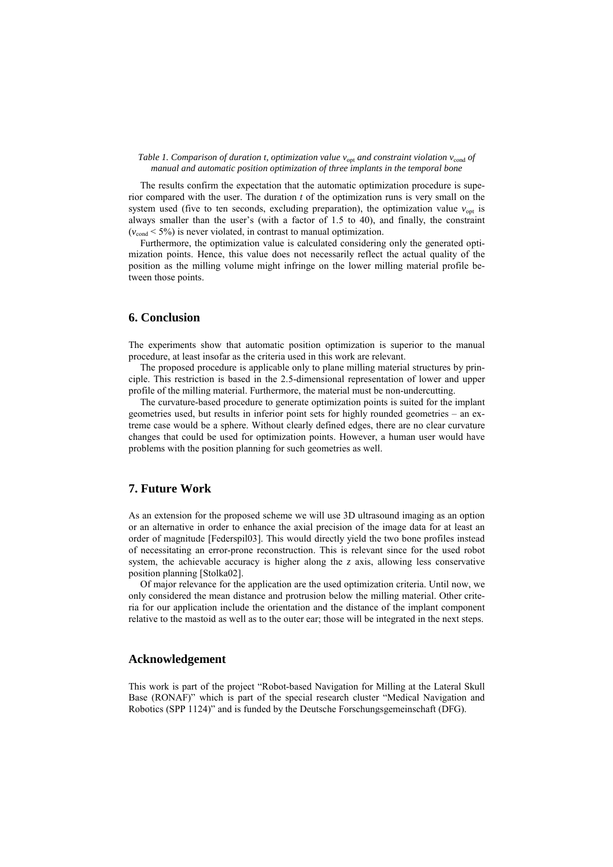#### *Table 1. Comparison of duration t, optimization value v*<sub>opt</sub> and constraint violation v<sub>cond</sub> of *manual and automatic position optimization of three implants in the temporal bone*

The results confirm the expectation that the automatic optimization procedure is superior compared with the user. The duration *t* of the optimization runs is very small on the system used (five to ten seconds, excluding preparation), the optimization value  $v_{\text{opt}}$  is always smaller than the user's (with a factor of 1.5 to 40), and finally, the constraint  $(v_{cond} < 5\%)$  is never violated, in contrast to manual optimization.

Furthermore, the optimization value is calculated considering only the generated optimization points. Hence, this value does not necessarily reflect the actual quality of the position as the milling volume might infringe on the lower milling material profile between those points.

### **6. Conclusion**

The experiments show that automatic position optimization is superior to the manual procedure, at least insofar as the criteria used in this work are relevant.

The proposed procedure is applicable only to plane milling material structures by principle. This restriction is based in the 2.5-dimensional representation of lower and upper profile of the milling material. Furthermore, the material must be non-undercutting.

The curvature-based procedure to generate optimization points is suited for the implant geometries used, but results in inferior point sets for highly rounded geometries – an extreme case would be a sphere. Without clearly defined edges, there are no clear curvature changes that could be used for optimization points. However, a human user would have problems with the position planning for such geometries as well.

# **7. Future Work**

As an extension for the proposed scheme we will use 3D ultrasound imaging as an option or an alternative in order to enhance the axial precision of the image data for at least an order of magnitude [Federspil03]. This would directly yield the two bone profiles instead of necessitating an error-prone reconstruction. This is relevant since for the used robot system, the achievable accuracy is higher along the *z* axis, allowing less conservative position planning [Stolka02].

Of major relevance for the application are the used optimization criteria. Until now, we only considered the mean distance and protrusion below the milling material. Other criteria for our application include the orientation and the distance of the implant component relative to the mastoid as well as to the outer ear; those will be integrated in the next steps.

### **Acknowledgement**

This work is part of the project "Robot-based Navigation for Milling at the Lateral Skull Base (RONAF)" which is part of the special research cluster "Medical Navigation and Robotics (SPP 1124)" and is funded by the Deutsche Forschungsgemeinschaft (DFG).